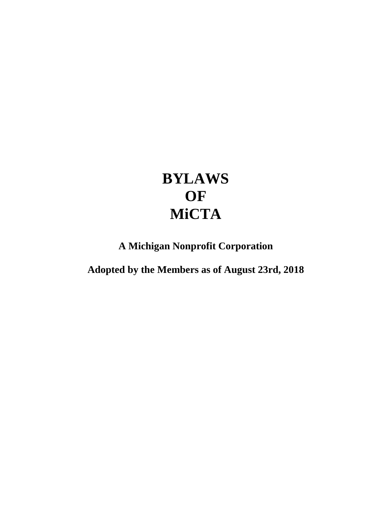# **BYLAWS OF MiCTA**

**A Michigan Nonprofit Corporation**

**Adopted by the Members as of August 23rd, 2018**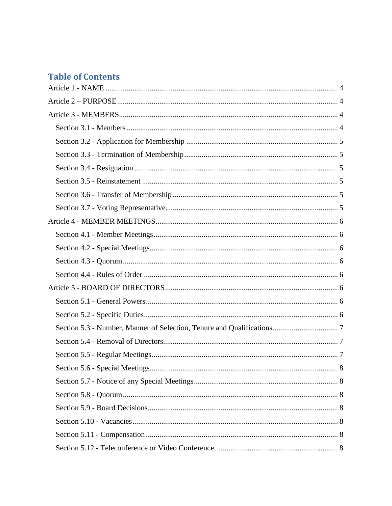# **Table of Contents**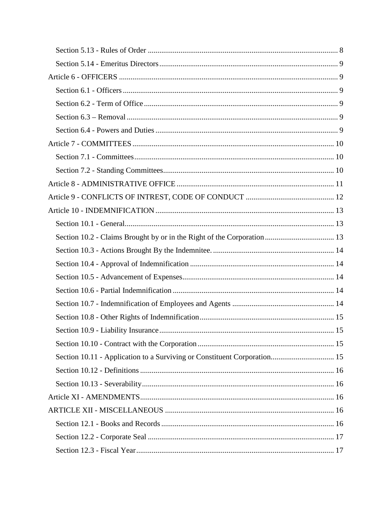|                                                                          | 15 |
|--------------------------------------------------------------------------|----|
|                                                                          |    |
| Section 10.11 - Application to a Surviving or Constituent Corporation 15 |    |
|                                                                          |    |
|                                                                          |    |
|                                                                          |    |
|                                                                          |    |
|                                                                          |    |
|                                                                          |    |
|                                                                          |    |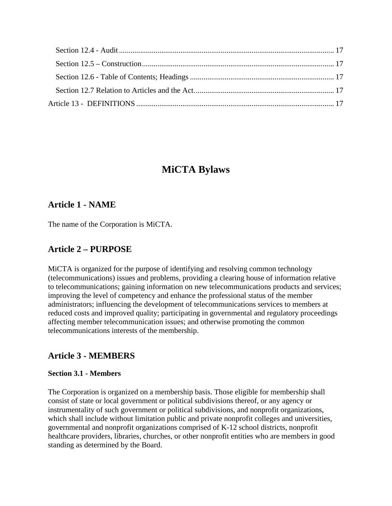## **MiCTA Bylaws**

## <span id="page-3-0"></span>**Article 1 - NAME**

<span id="page-3-1"></span>The name of the Corporation is MiCTA.

## **Article 2 – PURPOSE**

MiCTA is organized for the purpose of identifying and resolving common technology (telecommunications) issues and problems, providing a clearing house of information relative to telecommunications; gaining information on new telecommunications products and services; improving the level of competency and enhance the professional status of the member administrators; influencing the development of telecommunications services to members at reduced costs and improved quality; participating in governmental and regulatory proceedings affecting member telecommunication issues; and otherwise promoting the common telecommunications interests of the membership.

## <span id="page-3-2"></span>**Article 3 - MEMBERS**

#### <span id="page-3-3"></span>**Section 3.1 - Members**

The Corporation is organized on a membership basis. Those eligible for membership shall consist of state or local government or political subdivisions thereof, or any agency or instrumentality of such government or political subdivisions, and nonprofit organizations, which shall include without limitation public and private nonprofit colleges and universities, governmental and nonprofit organizations comprised of K-12 school districts, nonprofit healthcare providers, libraries, churches, or other nonprofit entities who are members in good standing as determined by the Board.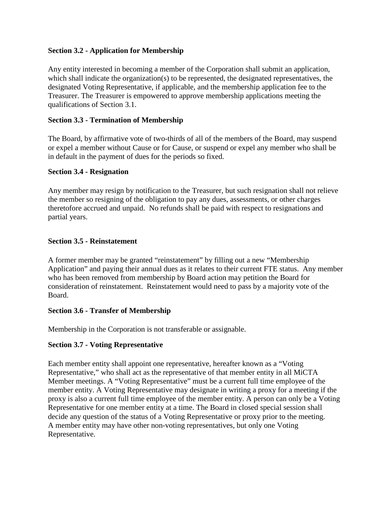#### <span id="page-4-0"></span>**Section 3.2 - Application for Membership**

Any entity interested in becoming a member of the Corporation shall submit an application, which shall indicate the organization(s) to be represented, the designated representatives, the designated Voting Representative, if applicable, and the membership application fee to the Treasurer. The Treasurer is empowered to approve membership applications meeting the qualifications of Section 3.1.

#### <span id="page-4-1"></span>**Section 3.3 - Termination of Membership**

The Board, by affirmative vote of two-thirds of all of the members of the Board, may suspend or expel a member without Cause or for Cause, or suspend or expel any member who shall be in default in the payment of dues for the periods so fixed.

#### <span id="page-4-2"></span>**Section 3.4 - Resignation**

Any member may resign by notification to the Treasurer, but such resignation shall not relieve the member so resigning of the obligation to pay any dues, assessments, or other charges theretofore accrued and unpaid. No refunds shall be paid with respect to resignations and partial years.

#### <span id="page-4-3"></span>**Section 3.5 - Reinstatement**

A former member may be granted "reinstatement" by filling out a new "Membership Application" and paying their annual dues as it relates to their current FTE status. Any member who has been removed from membership by Board action may petition the Board for consideration of reinstatement. Reinstatement would need to pass by a majority vote of the Board.

#### <span id="page-4-4"></span>**Section 3.6 - Transfer of Membership**

Membership in the Corporation is not transferable or assignable.

#### <span id="page-4-5"></span>**Section 3.7 - Voting Representative**

Each member entity shall appoint one representative, hereafter known as a "Voting Representative," who shall act as the representative of that member entity in all MiCTA Member meetings. A "Voting Representative" must be a current full time employee of the member entity. A Voting Representative may designate in writing a proxy for a meeting if the proxy is also a current full time employee of the member entity. A person can only be a Voting Representative for one member entity at a time. The Board in closed special session shall decide any question of the status of a Voting Representative or proxy prior to the meeting. A member entity may have other non-voting representatives, but only one Voting Representative.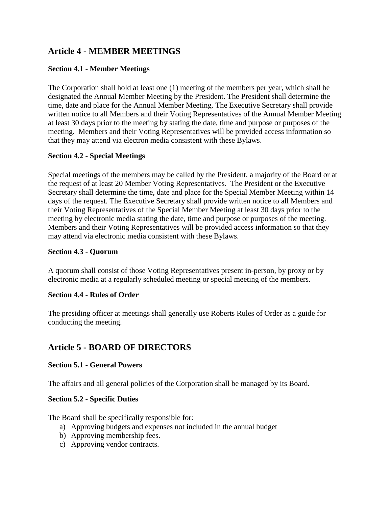## <span id="page-5-0"></span>**Article 4 - MEMBER MEETINGS**

#### <span id="page-5-1"></span>**Section 4.1 - Member Meetings**

The Corporation shall hold at least one (1) meeting of the members per year, which shall be designated the Annual Member Meeting by the President. The President shall determine the time, date and place for the Annual Member Meeting. The Executive Secretary shall provide written notice to all Members and their Voting Representatives of the Annual Member Meeting at least 30 days prior to the meeting by stating the date, time and purpose or purposes of the meeting. Members and their Voting Representatives will be provided access information so that they may attend via electron media consistent with these Bylaws.

#### <span id="page-5-2"></span>**Section 4.2 - Special Meetings**

Special meetings of the members may be called by the President, a majority of the Board or at the request of at least 20 Member Voting Representatives. The President or the Executive Secretary shall determine the time, date and place for the Special Member Meeting within 14 days of the request. The Executive Secretary shall provide written notice to all Members and their Voting Representatives of the Special Member Meeting at least 30 days prior to the meeting by electronic media stating the date, time and purpose or purposes of the meeting. Members and their Voting Representatives will be provided access information so that they may attend via electronic media consistent with these Bylaws.

#### <span id="page-5-3"></span>**Section 4.3 - Quorum**

A quorum shall consist of those Voting Representatives present in-person, by proxy or by electronic media at a regularly scheduled meeting or special meeting of the members.

#### <span id="page-5-4"></span>**Section 4.4 - Rules of Order**

The presiding officer at meetings shall generally use Roberts Rules of Order as a guide for conducting the meeting.

## <span id="page-5-5"></span>**Article 5 - BOARD OF DIRECTORS**

#### <span id="page-5-6"></span>**Section 5.1 - General Powers**

The affairs and all general policies of the Corporation shall be managed by its Board.

#### <span id="page-5-7"></span>**Section 5.2 - Specific Duties**

The Board shall be specifically responsible for:

- a) Approving budgets and expenses not included in the annual budget
- b) Approving membership fees.
- c) Approving vendor contracts.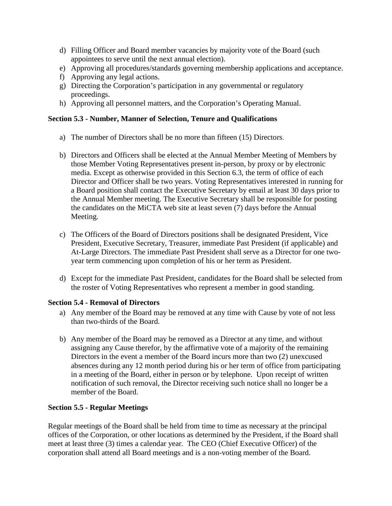- d) Filling Officer and Board member vacancies by majority vote of the Board (such appointees to serve until the next annual election).
- e) Approving all procedures/standards governing membership applications and acceptance.
- f) Approving any legal actions.
- g) Directing the Corporation's participation in any governmental or regulatory proceedings.
- h) Approving all personnel matters, and the Corporation's Operating Manual.

#### <span id="page-6-0"></span>**Section 5.3 - Number, Manner of Selection, Tenure and Qualifications**

- a) The number of Directors shall be no more than fifteen (15) Directors.
- b) Directors and Officers shall be elected at the Annual Member Meeting of Members by those Member Voting Representatives present in-person, by proxy or by electronic media. Except as otherwise provided in this Section 6.3, the term of office of each Director and Officer shall be two years. Voting Representatives interested in running for a Board position shall contact the Executive Secretary by email at least 30 days prior to the Annual Member meeting. The Executive Secretary shall be responsible for posting the candidates on the MiCTA web site at least seven (7) days before the Annual Meeting.
- c) The Officers of the Board of Directors positions shall be designated President, Vice President, Executive Secretary, Treasurer, immediate Past President (if applicable) and At-Large Directors. The immediate Past President shall serve as a Director for one twoyear term commencing upon completion of his or her term as President.
- d) Except for the immediate Past President, candidates for the Board shall be selected from the roster of Voting Representatives who represent a member in good standing.

#### <span id="page-6-1"></span>**Section 5.4 - Removal of Directors**

- a) Any member of the Board may be removed at any time with Cause by vote of not less than two-thirds of the Board.
- b) Any member of the Board may be removed as a Director at any time, and without assigning any Cause therefor, by the affirmative vote of a majority of the remaining Directors in the event a member of the Board incurs more than two (2) unexcused absences during any 12 month period during his or her term of office from participating in a meeting of the Board, either in person or by telephone. Upon receipt of written notification of such removal, the Director receiving such notice shall no longer be a member of the Board.

#### <span id="page-6-2"></span>**Section 5.5 - Regular Meetings**

Regular meetings of the Board shall be held from time to time as necessary at the principal offices of the Corporation, or other locations as determined by the President, if the Board shall meet at least three (3) times a calendar year. The CEO (Chief Executive Officer) of the corporation shall attend all Board meetings and is a non-voting member of the Board.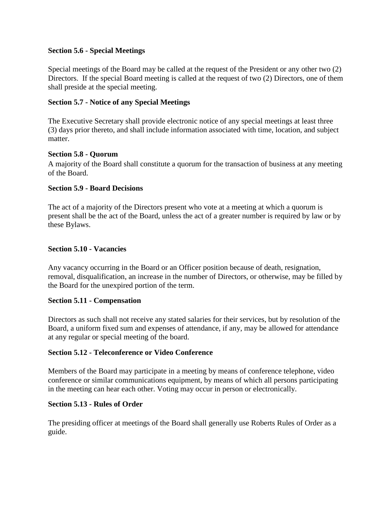#### <span id="page-7-0"></span>**Section 5.6 - Special Meetings**

Special meetings of the Board may be called at the request of the President or any other two (2) Directors. If the special Board meeting is called at the request of two (2) Directors, one of them shall preside at the special meeting.

#### <span id="page-7-1"></span>**Section 5.7 - Notice of any Special Meetings**

The Executive Secretary shall provide electronic notice of any special meetings at least three (3) days prior thereto, and shall include information associated with time, location, and subject matter.

#### <span id="page-7-2"></span>**Section 5.8 - Quorum**

A majority of the Board shall constitute a quorum for the transaction of business at any meeting of the Board.

#### <span id="page-7-3"></span>**Section 5.9 - Board Decisions**

The act of a majority of the Directors present who vote at a meeting at which a quorum is present shall be the act of the Board, unless the act of a greater number is required by law or by these Bylaws.

#### <span id="page-7-4"></span>**Section 5.10 - Vacancies**

Any vacancy occurring in the Board or an Officer position because of death, resignation, removal, disqualification, an increase in the number of Directors, or otherwise, may be filled by the Board for the unexpired portion of the term.

#### <span id="page-7-5"></span>**Section 5.11 - Compensation**

Directors as such shall not receive any stated salaries for their services, but by resolution of the Board, a uniform fixed sum and expenses of attendance, if any, may be allowed for attendance at any regular or special meeting of the board.

#### <span id="page-7-6"></span>**Section 5.12 - Teleconference or Video Conference**

Members of the Board may participate in a meeting by means of conference telephone, video conference or similar communications equipment, by means of which all persons participating in the meeting can hear each other. Voting may occur in person or electronically.

#### <span id="page-7-7"></span>**Section 5.13 - Rules of Order**

The presiding officer at meetings of the Board shall generally use Roberts Rules of Order as a guide.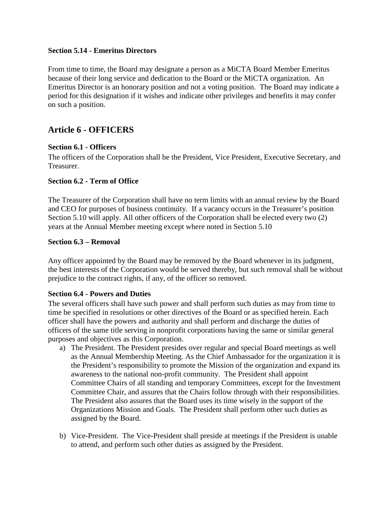#### <span id="page-8-0"></span>**Section 5.14 - Emeritus Directors**

From time to time, the Board may designate a person as a MiCTA Board Member Emeritus because of their long service and dedication to the Board or the MiCTA organization. An Emeritus Director is an honorary position and not a voting position. The Board may indicate a period for this designation if it wishes and indicate other privileges and benefits it may confer on such a position.

## <span id="page-8-1"></span>**Article 6 - OFFICERS**

#### <span id="page-8-2"></span>**Section 6.1 - Officers**

The officers of the Corporation shall be the President, Vice President, Executive Secretary, and Treasurer.

#### <span id="page-8-3"></span>**Section 6.2 - Term of Office**

The Treasurer of the Corporation shall have no term limits with an annual review by the Board and CEO for purposes of business continuity. If a vacancy occurs in the Treasurer's position Section 5.10 will apply. All other officers of the Corporation shall be elected every two (2) years at the Annual Member meeting except where noted in Section 5.10

#### <span id="page-8-4"></span>**Section 6.3 – Removal**

Any officer appointed by the Board may be removed by the Board whenever in its judgment, the best interests of the Corporation would be served thereby, but such removal shall be without prejudice to the contract rights, if any, of the officer so removed.

#### <span id="page-8-5"></span>**Section 6.4 - Powers and Duties**

The several officers shall have such power and shall perform such duties as may from time to time be specified in resolutions or other directives of the Board or as specified herein. Each officer shall have the powers and authority and shall perform and discharge the duties of officers of the same title serving in nonprofit corporations having the same or similar general purposes and objectives as this Corporation.

- a) The President. The President presides over regular and special Board meetings as well as the Annual Membership Meeting. As the Chief Ambassador for the organization it is the President's responsibility to promote the Mission of the organization and expand its awareness to the national non-profit community. The President shall appoint Committee Chairs of all standing and temporary Committees, except for the Investment Committee Chair, and assures that the Chairs follow through with their responsibilities. The President also assures that the Board uses its time wisely in the support of the Organizations Mission and Goals. The President shall perform other such duties as assigned by the Board.
- b) Vice-President. The Vice-President shall preside at meetings if the President is unable to attend, and perform such other duties as assigned by the President.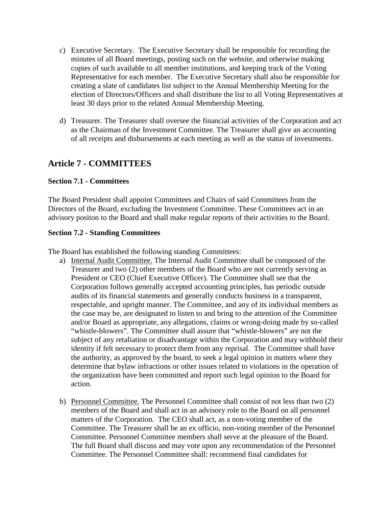- c) Executive Secretary. The Executive Secretary shall be responsible for recording the minutes of all Board meetings, posting such on the website, and otherwise making copies of such available to all member institutions, and keeping track of the Voting Representative for each member. The Executive Secretary shall also be responsible for creating a slate of candidates list subject to the Annual Membership Meeting for the election of Directors/Officers and shall distribute the list to all Voting Representatives at least 30 days prior to the related Annual Membership Meeting.
- d) Treasurer. The Treasurer shall oversee the financial activities of the Corporation and act as the Chairman of the Investment Committee. The Treasurer shall give an accounting of all receipts and disbursements at each meeting as well as the status of investments.

## <span id="page-9-0"></span>**Article 7 - COMMITTEES**

#### <span id="page-9-1"></span>**Section 7.1 - Committees**

The Board President shall appoint Committees and Chairs of said Committees from the Directors of the Board, excluding the Investment Committee. These Committees act in an advisory positon to the Board and shall make regular reports of their activities to the Board.

#### <span id="page-9-2"></span>**Section 7.2 - Standing Committees**

The Board has established the following standing Committees:

- a) Internal Audit Committee. The Internal Audit Committee shall be composed of the Treasurer and two (2) other members of the Board who are not currently serving as President or CEO (Chief Executive Officer). The Committee shall see that the Corporation follows generally accepted accounting principles, has periodic outside audits of its financial statements and generally conducts business in a transparent, respectable, and upright manner. The Committee, and any of its individual members as the case may be, are designated to listen to and bring to the attention of the Committee and/or Board as appropriate, any allegations, claims or wrong-doing made by so-called "whistle-blowers". The Committee shall assure that "whistle-blowers" are not the subject of any retaliation or disadvantage within the Corporation and may withhold their identity if felt necessary to protect them from any reprisal. The Committee shall have the authority, as approved by the board, to seek a legal opinion in matters where they determine that bylaw infractions or other issues related to violations in the operation of the organization have been committed and report such legal opinion to the Board for action.
- b) Personnel Committee. The Personnel Committee shall consist of not less than two (2) members of the Board and shall act in an advisory role to the Board on all personnel matters of the Corporation. The CEO shall act, as a non-voting member of the Committee. The Treasurer shall be an ex officio, non-voting member of the Personnel Committee. Personnel Committee members shall serve at the pleasure of the Board. The full Board shall discuss and may vote upon any recommendation of the Personnel Committee. The Personnel Committee shall: recommend final candidates for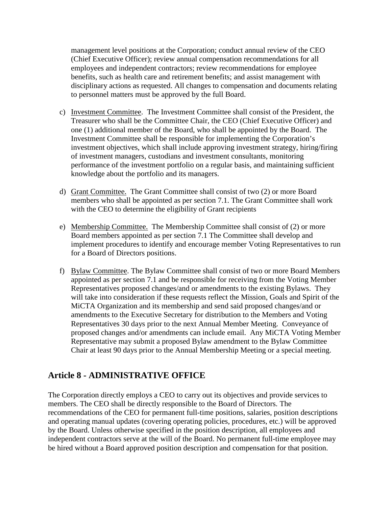management level positions at the Corporation; conduct annual review of the CEO (Chief Executive Officer); review annual compensation recommendations for all employees and independent contractors; review recommendations for employee benefits, such as health care and retirement benefits; and assist management with disciplinary actions as requested. All changes to compensation and documents relating to personnel matters must be approved by the full Board.

- c) Investment Committee. The Investment Committee shall consist of the President, the Treasurer who shall be the Committee Chair, the CEO (Chief Executive Officer) and one (1) additional member of the Board, who shall be appointed by the Board. The Investment Committee shall be responsible for implementing the Corporation's investment objectives, which shall include approving investment strategy, hiring/firing of investment managers, custodians and investment consultants, monitoring performance of the investment portfolio on a regular basis, and maintaining sufficient knowledge about the portfolio and its managers.
- d) Grant Committee. The Grant Committee shall consist of two (2) or more Board members who shall be appointed as per section 7.1. The Grant Committee shall work with the CEO to determine the eligibility of Grant recipients
- e) Membership Committee. The Membership Committee shall consist of (2) or more Board members appointed as per section 7.1 The Committee shall develop and implement procedures to identify and encourage member Voting Representatives to run for a Board of Directors positions.
- f) Bylaw Committee. The Bylaw Committee shall consist of two or more Board Members appointed as per section 7.1 and be responsible for receiving from the Voting Member Representatives proposed changes/and or amendments to the existing Bylaws. They will take into consideration if these requests reflect the Mission, Goals and Spirit of the MiCTA Organization and its membership and send said proposed changes/and or amendments to the Executive Secretary for distribution to the Members and Voting Representatives 30 days prior to the next Annual Member Meeting. Conveyance of proposed changes and/or amendments can include email. Any MiCTA Voting Member Representative may submit a proposed Bylaw amendment to the Bylaw Committee Chair at least 90 days prior to the Annual Membership Meeting or a special meeting.

## <span id="page-10-0"></span>**Article 8 - ADMINISTRATIVE OFFICE**

The Corporation directly employs a CEO to carry out its objectives and provide services to members. The CEO shall be directly responsible to the Board of Directors. The recommendations of the CEO for permanent full-time positions, salaries, position descriptions and operating manual updates (covering operating policies, procedures, etc.) will be approved by the Board. Unless otherwise specified in the position description, all employees and independent contractors serve at the will of the Board. No permanent full-time employee may be hired without a Board approved position description and compensation for that position.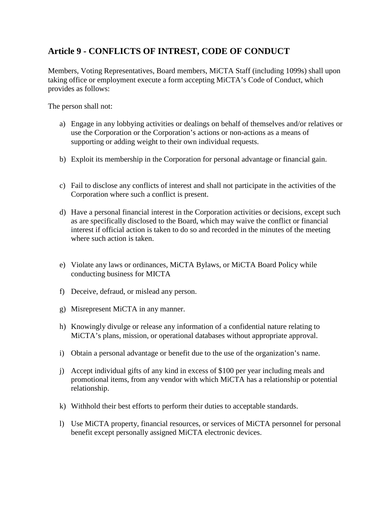## <span id="page-11-0"></span>**Article 9 - CONFLICTS OF INTREST, CODE OF CONDUCT**

Members, Voting Representatives, Board members, MiCTA Staff (including 1099s) shall upon taking office or employment execute a form accepting MiCTA's Code of Conduct, which provides as follows:

The person shall not:

- a) Engage in any lobbying activities or dealings on behalf of themselves and/or relatives or use the Corporation or the Corporation's actions or non-actions as a means of supporting or adding weight to their own individual requests.
- b) Exploit its membership in the Corporation for personal advantage or financial gain.
- c) Fail to disclose any conflicts of interest and shall not participate in the activities of the Corporation where such a conflict is present.
- d) Have a personal financial interest in the Corporation activities or decisions, except such as are specifically disclosed to the Board, which may waive the conflict or financial interest if official action is taken to do so and recorded in the minutes of the meeting where such action is taken.
- e) Violate any laws or ordinances, MiCTA Bylaws, or MiCTA Board Policy while conducting business for MICTA
- f) Deceive, defraud, or mislead any person.
- g) Misrepresent MiCTA in any manner.
- h) Knowingly divulge or release any information of a confidential nature relating to MiCTA's plans, mission, or operational databases without appropriate approval.
- i) Obtain a personal advantage or benefit due to the use of the organization's name.
- j) Accept individual gifts of any kind in excess of \$100 per year including meals and promotional items, from any vendor with which MiCTA has a relationship or potential relationship.
- k) Withhold their best efforts to perform their duties to acceptable standards.
- l) Use MiCTA property, financial resources, or services of MiCTA personnel for personal benefit except personally assigned MiCTA electronic devices.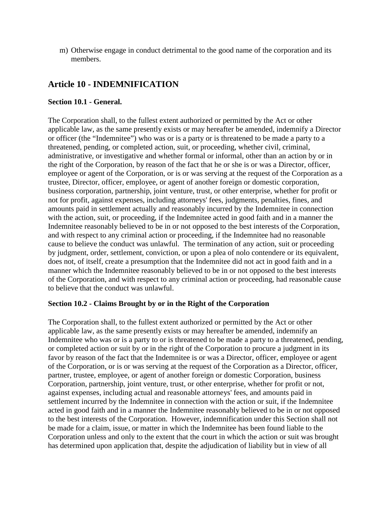m) Otherwise engage in conduct detrimental to the good name of the corporation and its members.

## <span id="page-12-0"></span>**Article 10 - INDEMNIFICATION**

#### <span id="page-12-1"></span>**Section 10.1 - General.**

The Corporation shall, to the fullest extent authorized or permitted by the Act or other applicable law, as the same presently exists or may hereafter be amended, indemnify a Director or officer (the "Indemnitee") who was or is a party or is threatened to be made a party to a threatened, pending, or completed action, suit, or proceeding, whether civil, criminal, administrative, or investigative and whether formal or informal, other than an action by or in the right of the Corporation, by reason of the fact that he or she is or was a Director, officer, employee or agent of the Corporation, or is or was serving at the request of the Corporation as a trustee, Director, officer, employee, or agent of another foreign or domestic corporation, business corporation, partnership, joint venture, trust, or other enterprise, whether for profit or not for profit, against expenses, including attorneys' fees, judgments, penalties, fines, and amounts paid in settlement actually and reasonably incurred by the Indemnitee in connection with the action, suit, or proceeding, if the Indemnitee acted in good faith and in a manner the Indemnitee reasonably believed to be in or not opposed to the best interests of the Corporation, and with respect to any criminal action or proceeding, if the Indemnitee had no reasonable cause to believe the conduct was unlawful. The termination of any action, suit or proceeding by judgment, order, settlement, conviction, or upon a plea of nolo contendere or its equivalent, does not, of itself, create a presumption that the Indemnitee did not act in good faith and in a manner which the Indemnitee reasonably believed to be in or not opposed to the best interests of the Corporation, and with respect to any criminal action or proceeding, had reasonable cause to believe that the conduct was unlawful.

#### <span id="page-12-2"></span>**Section 10.2 - Claims Brought by or in the Right of the Corporation**

The Corporation shall, to the fullest extent authorized or permitted by the Act or other applicable law, as the same presently exists or may hereafter be amended, indemnify an Indemnitee who was or is a party to or is threatened to be made a party to a threatened, pending, or completed action or suit by or in the right of the Corporation to procure a judgment in its favor by reason of the fact that the Indemnitee is or was a Director, officer, employee or agent of the Corporation, or is or was serving at the request of the Corporation as a Director, officer, partner, trustee, employee, or agent of another foreign or domestic Corporation, business Corporation, partnership, joint venture, trust, or other enterprise, whether for profit or not, against expenses, including actual and reasonable attorneys' fees, and amounts paid in settlement incurred by the Indemnitee in connection with the action or suit, if the Indemnitee acted in good faith and in a manner the Indemnitee reasonably believed to be in or not opposed to the best interests of the Corporation. However, indemnification under this Section shall not be made for a claim, issue, or matter in which the Indemnitee has been found liable to the Corporation unless and only to the extent that the court in which the action or suit was brought has determined upon application that, despite the adjudication of liability but in view of all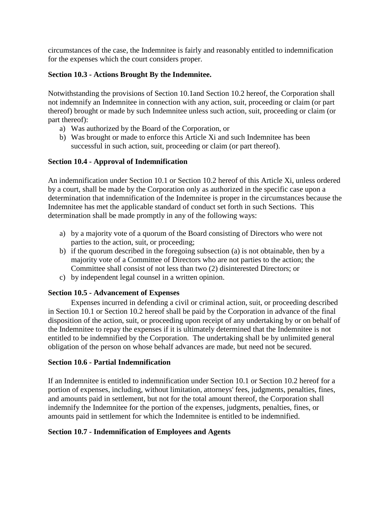circumstances of the case, the Indemnitee is fairly and reasonably entitled to indemnification for the expenses which the court considers proper.

#### <span id="page-13-0"></span>**Section 10.3 - Actions Brought By the Indemnitee.**

Notwithstanding the provisions of Section 10.1and Section 10.2 hereof, the Corporation shall not indemnify an Indemnitee in connection with any action, suit, proceeding or claim (or part thereof) brought or made by such Indemnitee unless such action, suit, proceeding or claim (or part thereof):

- a) Was authorized by the Board of the Corporation, or
- b) Was brought or made to enforce this Article Xi and such Indemnitee has been successful in such action, suit, proceeding or claim (or part thereof).

#### <span id="page-13-1"></span>**Section 10.4 - Approval of Indemnification**

An indemnification under Section 10.1 or Section 10.2 hereof of this Article Xi, unless ordered by a court, shall be made by the Corporation only as authorized in the specific case upon a determination that indemnification of the Indemnitee is proper in the circumstances because the Indemnitee has met the applicable standard of conduct set forth in such Sections. This determination shall be made promptly in any of the following ways:

- a) by a majority vote of a quorum of the Board consisting of Directors who were not parties to the action, suit, or proceeding;
- b) if the quorum described in the foregoing subsection (a) is not obtainable, then by a majority vote of a Committee of Directors who are not parties to the action; the Committee shall consist of not less than two (2) disinterested Directors; or
- c) by independent legal counsel in a written opinion.

#### <span id="page-13-2"></span>**Section 10.5 - Advancement of Expenses**

Expenses incurred in defending a civil or criminal action, suit, or proceeding described in Section 10.1 or Section 10.2 hereof shall be paid by the Corporation in advance of the final disposition of the action, suit, or proceeding upon receipt of any undertaking by or on behalf of the Indemnitee to repay the expenses if it is ultimately determined that the Indemnitee is not entitled to be indemnified by the Corporation. The undertaking shall be by unlimited general obligation of the person on whose behalf advances are made, but need not be secured.

#### <span id="page-13-3"></span>**Section 10.6 - Partial Indemnification**

If an Indemnitee is entitled to indemnification under Section 10.1 or Section 10.2 hereof for a portion of expenses, including, without limitation, attorneys' fees, judgments, penalties, fines, and amounts paid in settlement, but not for the total amount thereof, the Corporation shall indemnify the Indemnitee for the portion of the expenses, judgments, penalties, fines, or amounts paid in settlement for which the Indemnitee is entitled to be indemnified.

#### <span id="page-13-4"></span>**Section 10.7 - Indemnification of Employees and Agents**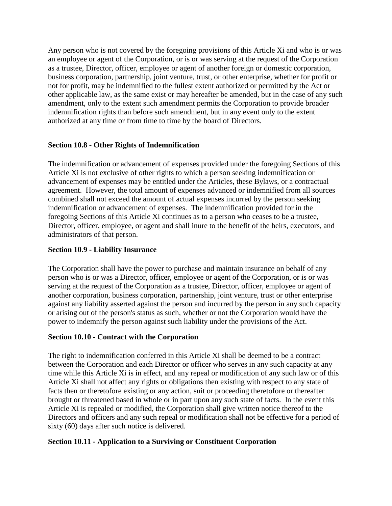Any person who is not covered by the foregoing provisions of this Article Xi and who is or was an employee or agent of the Corporation, or is or was serving at the request of the Corporation as a trustee, Director, officer, employee or agent of another foreign or domestic corporation, business corporation, partnership, joint venture, trust, or other enterprise, whether for profit or not for profit, may be indemnified to the fullest extent authorized or permitted by the Act or other applicable law, as the same exist or may hereafter be amended, but in the case of any such amendment, only to the extent such amendment permits the Corporation to provide broader indemnification rights than before such amendment, but in any event only to the extent authorized at any time or from time to time by the board of Directors.

#### <span id="page-14-0"></span>**Section 10.8 - Other Rights of Indemnification**

The indemnification or advancement of expenses provided under the foregoing Sections of this Article Xi is not exclusive of other rights to which a person seeking indemnification or advancement of expenses may be entitled under the Articles, these Bylaws, or a contractual agreement. However, the total amount of expenses advanced or indemnified from all sources combined shall not exceed the amount of actual expenses incurred by the person seeking indemnification or advancement of expenses. The indemnification provided for in the foregoing Sections of this Article Xi continues as to a person who ceases to be a trustee, Director, officer, employee, or agent and shall inure to the benefit of the heirs, executors, and administrators of that person.

#### <span id="page-14-1"></span>**Section 10.9 - Liability Insurance**

The Corporation shall have the power to purchase and maintain insurance on behalf of any person who is or was a Director, officer, employee or agent of the Corporation, or is or was serving at the request of the Corporation as a trustee, Director, officer, employee or agent of another corporation, business corporation, partnership, joint venture, trust or other enterprise against any liability asserted against the person and incurred by the person in any such capacity or arising out of the person's status as such, whether or not the Corporation would have the power to indemnify the person against such liability under the provisions of the Act.

#### <span id="page-14-2"></span>**Section 10.10 - Contract with the Corporation**

The right to indemnification conferred in this Article Xi shall be deemed to be a contract between the Corporation and each Director or officer who serves in any such capacity at any time while this Article Xi is in effect, and any repeal or modification of any such law or of this Article Xi shall not affect any rights or obligations then existing with respect to any state of facts then or theretofore existing or any action, suit or proceeding theretofore or thereafter brought or threatened based in whole or in part upon any such state of facts. In the event this Article Xi is repealed or modified, the Corporation shall give written notice thereof to the Directors and officers and any such repeal or modification shall not be effective for a period of sixty (60) days after such notice is delivered.

#### <span id="page-14-3"></span>**Section 10.11 - Application to a Surviving or Constituent Corporation**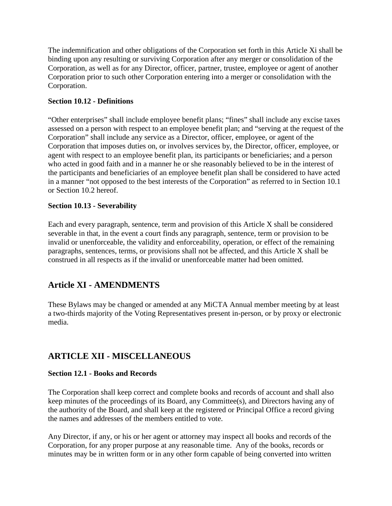The indemnification and other obligations of the Corporation set forth in this Article Xi shall be binding upon any resulting or surviving Corporation after any merger or consolidation of the Corporation, as well as for any Director, officer, partner, trustee, employee or agent of another Corporation prior to such other Corporation entering into a merger or consolidation with the Corporation.

#### <span id="page-15-0"></span>**Section 10.12 - Definitions**

"Other enterprises" shall include employee benefit plans; "fines" shall include any excise taxes assessed on a person with respect to an employee benefit plan; and "serving at the request of the Corporation" shall include any service as a Director, officer, employee, or agent of the Corporation that imposes duties on, or involves services by, the Director, officer, employee, or agent with respect to an employee benefit plan, its participants or beneficiaries; and a person who acted in good faith and in a manner he or she reasonably believed to be in the interest of the participants and beneficiaries of an employee benefit plan shall be considered to have acted in a manner "not opposed to the best interests of the Corporation" as referred to in Section 10.1 or Section 10.2 hereof.

#### <span id="page-15-1"></span>**Section 10.13 - Severability**

Each and every paragraph, sentence, term and provision of this Article X shall be considered severable in that, in the event a court finds any paragraph, sentence, term or provision to be invalid or unenforceable, the validity and enforceability, operation, or effect of the remaining paragraphs, sentences, terms, or provisions shall not be affected, and this Article X shall be construed in all respects as if the invalid or unenforceable matter had been omitted.

## <span id="page-15-2"></span>**Article XI - AMENDMENTS**

These Bylaws may be changed or amended at any MiCTA Annual member meeting by at least a two-thirds majority of the Voting Representatives present in-person, or by proxy or electronic media.

## <span id="page-15-3"></span>**ARTICLE XII - MISCELLANEOUS**

#### <span id="page-15-4"></span>**Section 12.1 - Books and Records**

The Corporation shall keep correct and complete books and records of account and shall also keep minutes of the proceedings of its Board, any Committee(s), and Directors having any of the authority of the Board, and shall keep at the registered or Principal Office a record giving the names and addresses of the members entitled to vote.

Any Director, if any, or his or her agent or attorney may inspect all books and records of the Corporation, for any proper purpose at any reasonable time. Any of the books, records or minutes may be in written form or in any other form capable of being converted into written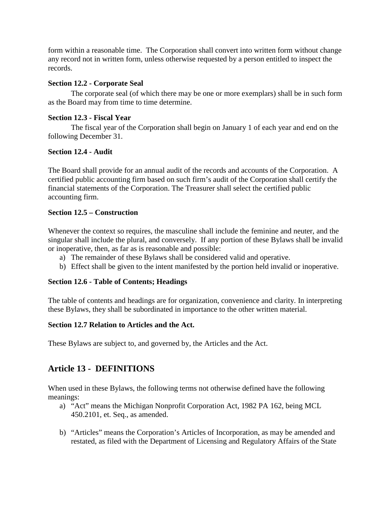form within a reasonable time. The Corporation shall convert into written form without change any record not in written form, unless otherwise requested by a person entitled to inspect the records.

#### <span id="page-16-0"></span>**Section 12.2 - Corporate Seal**

The corporate seal (of which there may be one or more exemplars) shall be in such form as the Board may from time to time determine.

#### <span id="page-16-1"></span>**Section 12.3 - Fiscal Year**

The fiscal year of the Corporation shall begin on January 1 of each year and end on the following December 31.

#### <span id="page-16-2"></span>**Section 12.4 - Audit**

The Board shall provide for an annual audit of the records and accounts of the Corporation. A certified public accounting firm based on such firm's audit of the Corporation shall certify the financial statements of the Corporation. The Treasurer shall select the certified public accounting firm.

#### <span id="page-16-3"></span>**Section 12.5 – Construction**

Whenever the context so requires, the masculine shall include the feminine and neuter, and the singular shall include the plural, and conversely. If any portion of these Bylaws shall be invalid or inoperative, then, as far as is reasonable and possible:

- a) The remainder of these Bylaws shall be considered valid and operative.
- b) Effect shall be given to the intent manifested by the portion held invalid or inoperative.

#### <span id="page-16-4"></span>**Section 12.6 - Table of Contents; Headings**

The table of contents and headings are for organization, convenience and clarity. In interpreting these Bylaws, they shall be subordinated in importance to the other written material.

#### <span id="page-16-5"></span>**Section 12.7 Relation to Articles and the Act.**

<span id="page-16-6"></span>These Bylaws are subject to, and governed by, the Articles and the Act.

## **Article 13 - DEFINITIONS**

When used in these Bylaws, the following terms not otherwise defined have the following meanings:

- a) "Act" means the Michigan Nonprofit Corporation Act, 1982 PA 162, being MCL 450.2101, et. Seq., as amended.
- b) "Articles" means the Corporation's Articles of Incorporation, as may be amended and restated, as filed with the Department of Licensing and Regulatory Affairs of the State